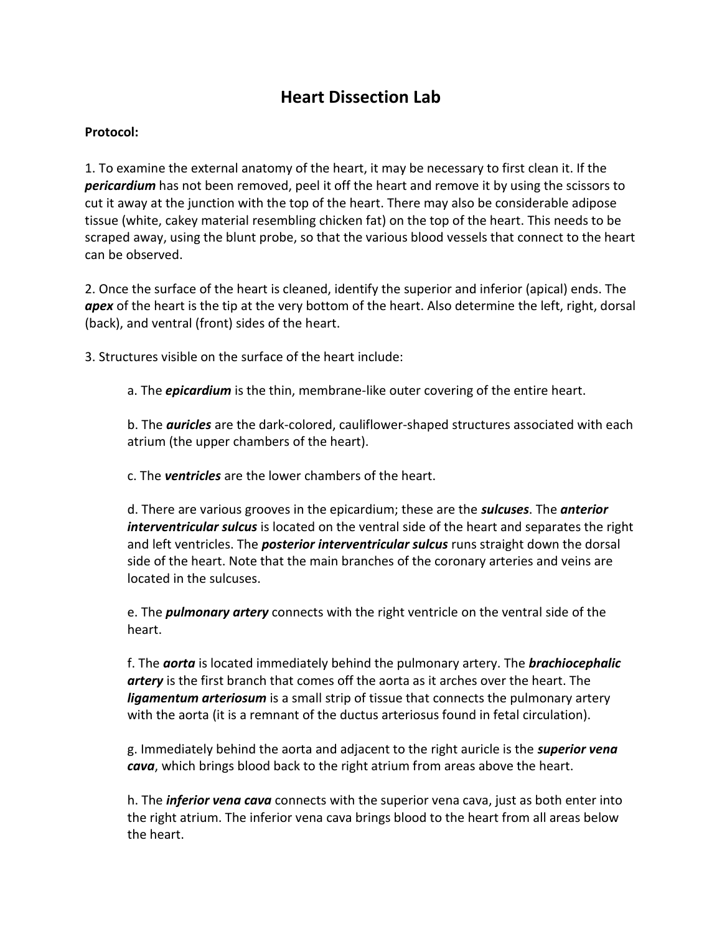## **Heart Dissection Lab**

## **Protocol:**

1. To examine the external anatomy of the heart, it may be necessary to first clean it. If the *pericardium* has not been removed, peel it off the heart and remove it by using the scissors to cut it away at the junction with the top of the heart. There may also be considerable adipose tissue (white, cakey material resembling chicken fat) on the top of the heart. This needs to be scraped away, using the blunt probe, so that the various blood vessels that connect to the heart can be observed.

2. Once the surface of the heart is cleaned, identify the superior and inferior (apical) ends. The *apex* of the heart is the tip at the very bottom of the heart. Also determine the left, right, dorsal (back), and ventral (front) sides of the heart.

3. Structures visible on the surface of the heart include:

a. The *epicardium* is the thin, membrane-like outer covering of the entire heart.

b. The *auricles* are the dark-colored, cauliflower-shaped structures associated with each atrium (the upper chambers of the heart).

c. The *ventricles* are the lower chambers of the heart.

d. There are various grooves in the epicardium; these are the *sulcuses*. The *anterior interventricular sulcus* is located on the ventral side of the heart and separates the right and left ventricles. The *posterior interventricular sulcus* runs straight down the dorsal side of the heart. Note that the main branches of the coronary arteries and veins are located in the sulcuses.

e. The *pulmonary artery* connects with the right ventricle on the ventral side of the heart.

f. The *aorta* is located immediately behind the pulmonary artery. The *brachiocephalic artery* is the first branch that comes off the aorta as it arches over the heart. The *ligamentum arteriosum* is a small strip of tissue that connects the pulmonary artery with the aorta (it is a remnant of the ductus arteriosus found in fetal circulation).

g. Immediately behind the aorta and adjacent to the right auricle is the *superior vena cava*, which brings blood back to the right atrium from areas above the heart.

h. The *inferior vena cava* connects with the superior vena cava, just as both enter into the right atrium. The inferior vena cava brings blood to the heart from all areas below the heart.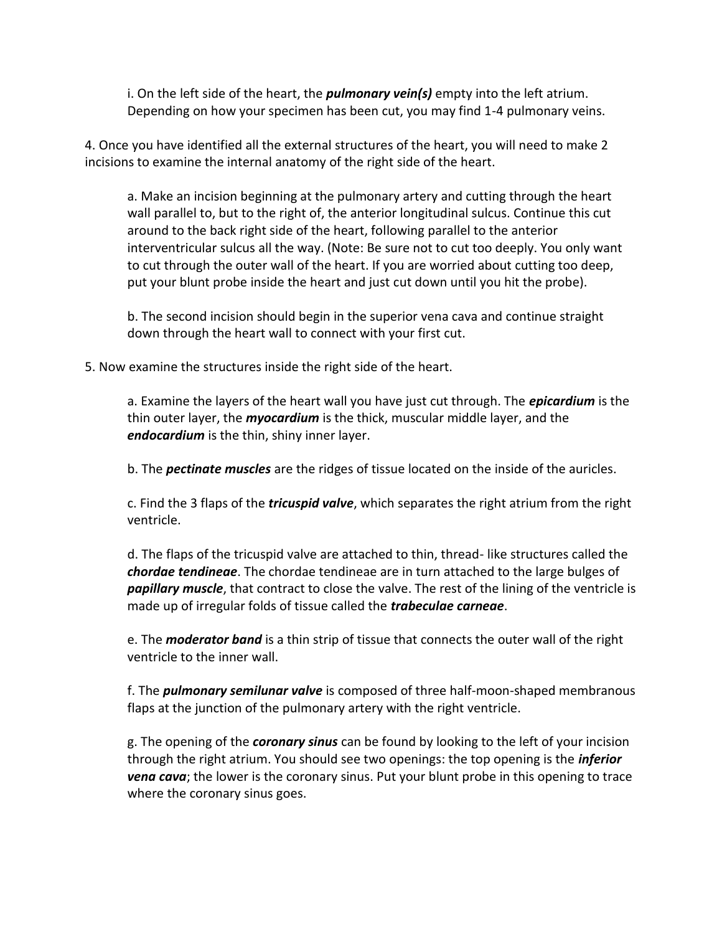i. On the left side of the heart, the *pulmonary vein(s)* empty into the left atrium. Depending on how your specimen has been cut, you may find 1-4 pulmonary veins.

4. Once you have identified all the external structures of the heart, you will need to make 2 incisions to examine the internal anatomy of the right side of the heart.

a. Make an incision beginning at the pulmonary artery and cutting through the heart wall parallel to, but to the right of, the anterior longitudinal sulcus. Continue this cut around to the back right side of the heart, following parallel to the anterior interventricular sulcus all the way. (Note: Be sure not to cut too deeply. You only want to cut through the outer wall of the heart. If you are worried about cutting too deep, put your blunt probe inside the heart and just cut down until you hit the probe).

b. The second incision should begin in the superior vena cava and continue straight down through the heart wall to connect with your first cut.

5. Now examine the structures inside the right side of the heart.

a. Examine the layers of the heart wall you have just cut through. The *epicardium* is the thin outer layer, the *myocardium* is the thick, muscular middle layer, and the *endocardium* is the thin, shiny inner layer.

b. The *pectinate muscles* are the ridges of tissue located on the inside of the auricles.

c. Find the 3 flaps of the *tricuspid valve*, which separates the right atrium from the right ventricle.

d. The flaps of the tricuspid valve are attached to thin, thread- like structures called the *chordae tendineae*. The chordae tendineae are in turn attached to the large bulges of *papillary muscle*, that contract to close the valve. The rest of the lining of the ventricle is made up of irregular folds of tissue called the *trabeculae carneae*.

e. The *moderator band* is a thin strip of tissue that connects the outer wall of the right ventricle to the inner wall.

f. The *pulmonary semilunar valve* is composed of three half-moon-shaped membranous flaps at the junction of the pulmonary artery with the right ventricle.

g. The opening of the *coronary sinus* can be found by looking to the left of your incision through the right atrium. You should see two openings: the top opening is the *inferior vena cava*; the lower is the coronary sinus. Put your blunt probe in this opening to trace where the coronary sinus goes.